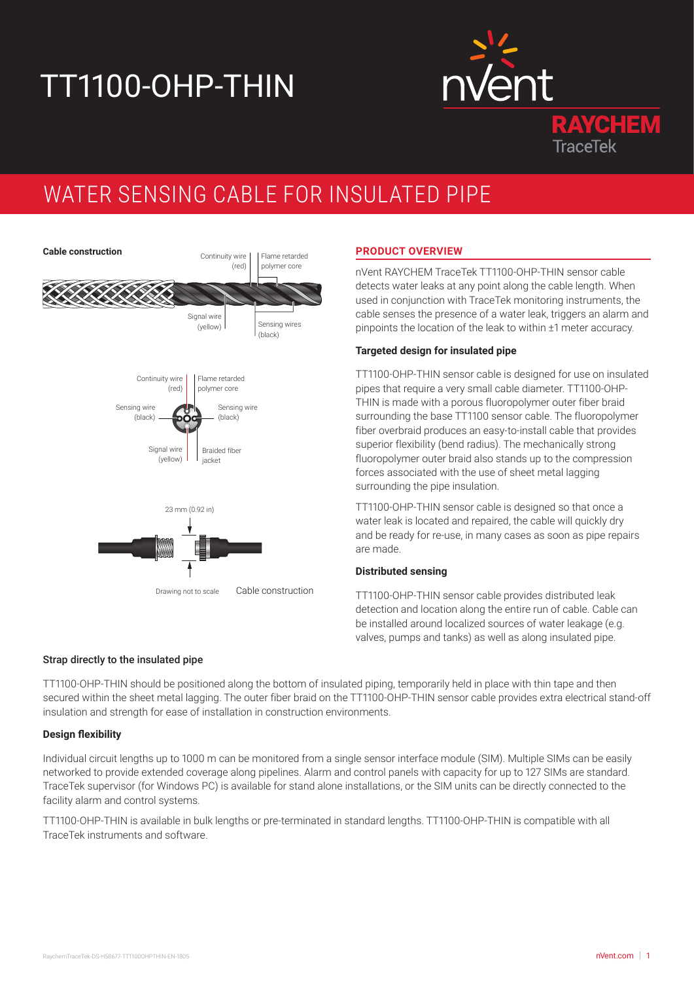# TT1100-OHP-THIN



## WATER SENSING CABLE FOR INSULATED PIPE



### **PRODUCT OVERVIEW**

nVent RAYCHEM TraceTek TT1100-OHP-THIN sensor cable detects water leaks at any point along the cable length. When used in conjunction with TraceTek monitoring instruments, the cable senses the presence of a water leak, triggers an alarm and pinpoints the location of the leak to within ±1 meter accuracy.

#### **Targeted design for insulated pipe**

TT1100-OHP-THIN sensor cable is designed for use on insulated pipes that require a very small cable diameter. TT1100-OHP-THIN is made with a porous fluoropolymer outer fiber braid surrounding the base TT1100 sensor cable. The fluoropolymer fiber overbraid produces an easy-to-install cable that provides superior flexibility (bend radius). The mechanically strong fluoropolymer outer braid also stands up to the compression forces associated with the use of sheet metal lagging surrounding the pipe insulation.

TT1100-OHP-THIN sensor cable is designed so that once a water leak is located and repaired, the cable will quickly dry and be ready for re-use, in many cases as soon as pipe repairs are made.

#### **Distributed sensing**

TT1100-OHP-THIN sensor cable provides distributed leak detection and location along the entire run of cable. Cable can be installed around localized sources of water leakage (e.g. valves, pumps and tanks) as well as along insulated pipe.

#### Strap directly to the insulated pipe

TT1100-OHP-THIN should be positioned along the bottom of insulated piping, temporarily held in place with thin tape and then secured within the sheet metal lagging. The outer fiber braid on the TT1100-OHP-THIN sensor cable provides extra electrical stand-off insulation and strength for ease of installation in construction environments.

#### **Design flexibility**

Individual circuit lengths up to 1000 m can be monitored from a single sensor interface module (SIM). Multiple SIMs can be easily networked to provide extended coverage along pipelines. Alarm and control panels with capacity for up to 127 SIMs are standard. TraceTek supervisor (for Windows PC) is available for stand alone installations, or the SIM units can be directly connected to the facility alarm and control systems.

TT1100-OHP-THIN is available in bulk lengths or pre-terminated in standard lengths. TT1100-OHP-THIN is compatible with all TraceTek instruments and software.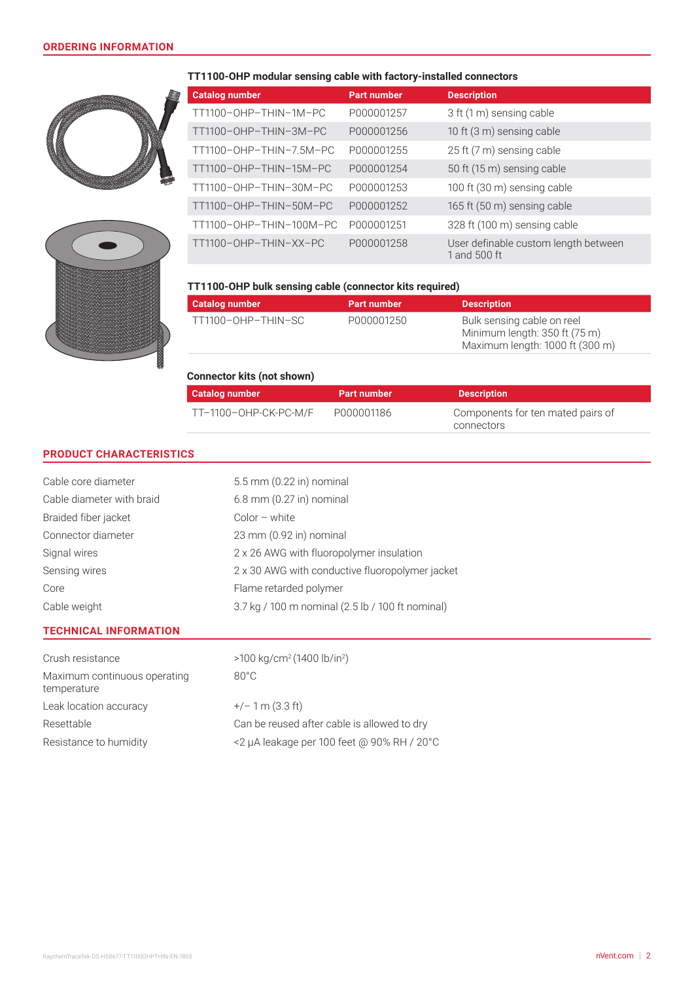



#### **TT1100-OHP modular sensing cable with factory-installed connectors**

| <b>Catalog number</b>   | <b>Part number</b> | <b>Description</b>                                   |
|-------------------------|--------------------|------------------------------------------------------|
| TT1100-OHP-THIN-1M-PC   | P000001257         | 3 ft (1 m) sensing cable                             |
| TT1100-OHP-THIN-3M-PC   | P000001256         | 10 ft (3 m) sensing cable                            |
| TT1100-OHP-THIN-7.5M-PC | P000001255         | 25 ft (7 m) sensing cable                            |
| TT1100-OHP-THIN-15M-PC  | P000001254         | 50 ft (15 m) sensing cable                           |
| TT1100-OHP-THIN-30M-PC  | P000001253         | 100 ft (30 m) sensing cable                          |
| TT1100-OHP-THIN-50M-PC  | P000001252         | 165 ft (50 m) sensing cable                          |
| TT1100-OHP-THIN-100M-PC | P000001251         | 328 ft (100 m) sensing cable                         |
| TT1100-OHP-THIN-XX-PC   | P000001258         | User definable custom length between<br>1 and 500 ft |

#### **TT1100-OHP bulk sensing cable (connector kits required)**

| Catalog number     | <b>Part number</b> | <b>Description</b>                                                                             |
|--------------------|--------------------|------------------------------------------------------------------------------------------------|
| TT1100-OHP-THIN-SC | P000001250         | Bulk sensing cable on reel<br>Minimum length: 350 ft (75 m)<br>Maximum length: 1000 ft (300 m) |

| <b>Connector kits (not shown)</b> |                    |                                                 |  |  |
|-----------------------------------|--------------------|-------------------------------------------------|--|--|
| Catalog number                    | <b>Part number</b> | <b>Description</b>                              |  |  |
| TT-1100-OHP-CK-PC-M/F             | P000001186         | Components for ten mated pairs of<br>connectors |  |  |

#### **PRODUCT CHARACTERISTICS**

| Cable core diameter                         | $5.5$ mm $(0.22$ in) nominal                     |  |  |
|---------------------------------------------|--------------------------------------------------|--|--|
| Cable diameter with braid                   | $6.8$ mm $(0.27$ in) nominal                     |  |  |
| Braided fiber jacket                        | $Color - white$                                  |  |  |
| Connector diameter                          | 23 mm (0.92 in) nominal                          |  |  |
| Signal wires                                | 2 x 26 AWG with fluoropolymer insulation         |  |  |
| Sensing wires                               | 2 x 30 AWG with conductive fluoropolymer jacket  |  |  |
| Core                                        | Flame retarded polymer                           |  |  |
| Cable weight                                | 3.7 kg / 100 m nominal (2.5 lb / 100 ft nominal) |  |  |
| <b>TECHNICAL INFORMATION</b>                |                                                  |  |  |
| Crush resistance                            | $>100 \text{ kg/cm}^2 (1400 \text{ lb/in}^2)$    |  |  |
| Maximum continuous operating<br>temperature | $80^{\circ}$ C                                   |  |  |
| Leak location accuracy                      | $+/- 1$ m (3.3 ft)                               |  |  |
| Resettable                                  | Can be reused after cable is allowed to dry      |  |  |
| Resistance to humidity                      | <2 µA leakage per 100 feet @ 90% RH / 20°C       |  |  |